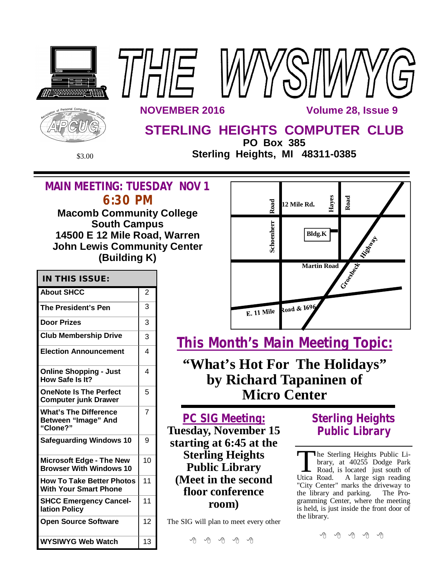





**NOVEMBER 2016 1999 12:00 Volume 28, Issue 9** 

# **STERLING HEIGHTS COMPUTER CLUB**

**PO Box 385** \$3.00 **Sterling Heights, MI 48311-0385**

## **MAIN MEETING: TUESDAY NOV 1 6:30 PM**

**Macomb Community College South Campus 14500 E 12 Mile Road, Warren John Lewis Community Center (Building K)**

| <b>IN THIS ISSUE:</b>                                             |                |  |
|-------------------------------------------------------------------|----------------|--|
| <b>About SHCC</b>                                                 | $\overline{2}$ |  |
| <b>The President's Pen</b>                                        | 3              |  |
| <b>Door Prizes</b>                                                | 3              |  |
| <b>Club Membership Drive</b>                                      | 3              |  |
| <b>Election Announcement</b>                                      | 4              |  |
| <b>Online Shopping - Just</b><br>How Safe Is It?                  | 4              |  |
| <b>OneNote Is The Perfect</b><br><b>Computer junk Drawer</b>      | 5              |  |
| <b>What's The Difference</b><br>Between "Image" And<br>"Clone?"   | 7              |  |
| <b>Safeguarding Windows 10</b>                                    | 9              |  |
| <b>Microsoft Edge - The New</b><br><b>Browser With Windows 10</b> | 10             |  |
| <b>How To Take Better Photos</b><br><b>With Your Smart Phone</b>  | 11             |  |
| <b>SHCC Emergency Cancel-</b><br>lation Policy                    | 11             |  |
| <b>Open Source Software</b>                                       | 12             |  |
| <b>WYSIWYG Web Watch</b>                                          | 13             |  |



**This Month's Main Meeting Topic:**

**"What's Hot For The Holidays" by Richard Tapaninen of Micro Center**

**PC SIG Meeting: Tuesday, November 15 starting at 6:45 at the Sterling Heights Public Library (Meet in the second floor conference room)**

The SIG will plan to meet every other

平 丹 平 平 丹

# **Sterling Heights Public Library**

The Sterling Heights Public Library, at 40255 Dodge Park<br>Road, is located just south of<br>Utica Road. A large sign reading he Sterling Heights Public Library, at 40255 Dodge Park Road, is located just south of "City Center" marks the driveway to<br>the library and parking. The Prothe library and parking. gramming Center, where the meeting is held, is just inside the front door of the library.

9 9 9 9 9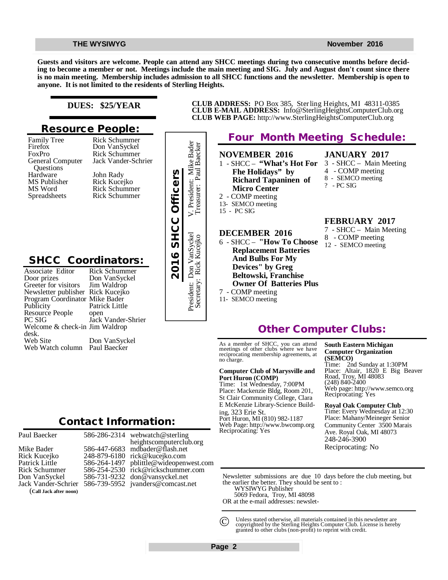**Guests and visitors are welcome. People can attend any SHCC meetings during two consecutive months before deciding to become a member or not. Meetings include the main meeting and SIG. July and August don't count since there is no main meeting. Membership includes admission to all SHCC functions and the newsletter. Membership is open to anyone. It is not limited to the residents of Sterling Heights.**

> President: Don VanSyckel V. President: Mike Bader Secretary: Rick Kucejko Treasurer: Paul Baecker

Don VanSyckel<br>7. Rick Kucejko

Secretary: President:

V. President: Mike Bader<br>Treasurer: Paul Baecker

#### **DUES: \$25/YEAR**

### **Resource People:**

Family Tree Firefox FoxPro General Computer Questions Hardware MS Publisher MS Word Spreadsheets

Rick Schummer Jack Vander-Schrier John Rady Rick Kucejko Rick Schummer Rick Schummer

Rick Schummer Don VanSyckel

## **SHCC Coordinators:**

| Hardware<br>MS Publisher<br>MS Word<br>Spreadsheets                                                                                                                                                                                                                              | John Rady<br>Rick Kucejko<br><b>Rick Schummer</b><br><b>Rick Schummer</b>                                                             | 2016 SHCC Officers |
|----------------------------------------------------------------------------------------------------------------------------------------------------------------------------------------------------------------------------------------------------------------------------------|---------------------------------------------------------------------------------------------------------------------------------------|--------------------|
| <b>SHCC Coordinators:</b><br>Associate Editor<br>Door prizes<br>Greeter for visitors<br>Newsletter publisher Rick Kucejko<br>Program Coordinator Mike Bader<br>Publicity<br>Resource People<br>PC SIG<br>Welcome & check-in Jim Waldrop<br>desk.<br>Web Site<br>Web Watch column | <b>Rick Schummer</b><br>Don VanSyckel<br>Jim Waldrop<br>Patrick Little<br>open<br>Jack Vander-Shrier<br>Don VanSyckel<br>Paul Baecker |                    |
|                                                                                                                                                                                                                                                                                  | <b>Contact Information:</b>                                                                                                           |                    |

Paul Baecker

### 586-286-2314

Mike Bader Rick Kucejko Patrick Little Rick Schummer Don VanSyckel Jack Vander-Schrier (**Call Jack after noon)**



**CLUB ADDRESS:** PO Box 385, Sterling Heights, MI 48311-0385 **CLUB E-MAIL ADDRESS:** [Info@SterlingHeightsComputerClub.org](mailto:Info@SterlingHeightsComputerClub.org) **CLUB WEB PAGE:** <http://www.SterlingHeightsComputerClub.org>

## **Four Month Meeting Schedule:**

**NOVEMBER 2016** 1 - SHCC – **"What's Hot For Fhe Holidays" by Richard Tapaninen of Micro Center** 2 - COMP meeting 13- SEMCO meeting 15 - PC SIG

## **DECEMBER 2016**

- 6 SHCC **"How To Choose Replacement Batteries And Bulbs For My Devices" by Greg Beltowski, Franchise Owner Of Batteries Plus** 7 - COMP meeting
- 11- SEMCO meeting

**FEBRUARY 2017**

**JANUARY 2017** 3 - SHCC – Main Meeting 4 - COMP meeting 8 - SEMCO meeting

? - PC SIG

- 7 SHCC Main Meeting 8 - COMP meeting
- 12 SEMCO meeting

## **Other Computer Clubs:**

As a member of SHCC, you can attend meetings of other clubs where we have reciprocating membership agreements, at no charge.

#### **Computer Club of Marysville and Port Huron (COMP)**

Time: 1st Wednesday, 7:00PM Place: Mackenzie Bldg, Room 201, St Clair Community College, Clara E McKenzie Library-Science Building, 323 Erie St. Port Huron, MI (810) 982-1187 Web Page:<http://www.bwcomp.org> Reciprocating: Yes

**South Eastern Michigan Computer Organization (SEMCO)**

Time: 2nd Sunday at 1:30PM Place: Altair, 1820 E Big Beaver Road, Troy, MI 48083 (248) 840-2400 Web page: <http://www.semco.org> Reciprocating: Yes

**Royal Oak Computer Club** Time: Every Wednesday at 12:30 Place: Mahany/Meineger Senior

Community Center 3500 Marais Ave. Royal Oak, MI 48073 248-246-3900 Reciprocating: No

Newsletter submissions are due 10 days before the club meeting, but the earlier the better. They should be sent to :

WYSIWYG Publisher

5069 Fedora, Troy, MI 48098

OR at the e-mail addresses: newslet-

Unless stated otherwise, all materials contained in this newsletter are copyrighted by the Sterling Heights Computer Club. License is hereby granted to other clubs (non-profit) to reprint with credit.  $\odot$ 

**Page 2**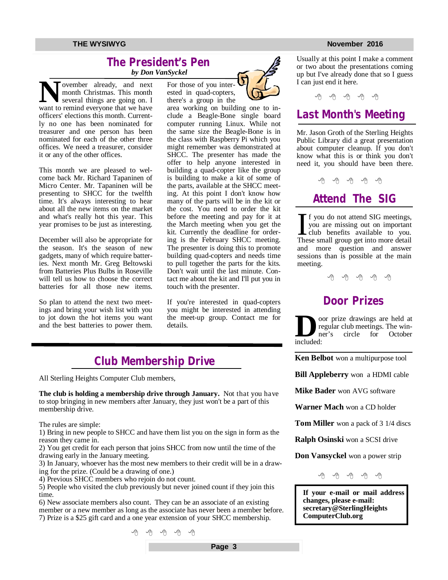### **The President's Pen**   *by Don VanSyckel*

**N W**work over the contract and the several things are going on. I want to remind everyone that we have ovember already, and next month Christmas. This month several things are going on. I officers' elections this month. Currently no one has been nominated for treasurer and one person has been nominated for each of the other three offices. We need a treasurer, consider it or any of the other offices.

This month we are pleased to welcome back Mr. Richard Tapaninen of Micro Center. Mr. Tapaninen will be presenting to SHCC for the twelfth time. It's always interesting to hear about all the new items on the market and what's really hot this year. This year promises to be just as interesting.

December will also be appropriate for the season. It's the season of new gadgets, many of which require batteries. Next month Mr. Greg Beltowski from Batteries Plus Bulbs in Roseville will tell us how to choose the correct batteries for all those new items.

So plan to attend the next two meetings and bring your wish list with you to jot down the hot items you want and the best batteries to power them. For those of you interested in quad-copters, there's a group in the

area working on building one to include a Beagle-Bone single board computer running Linux. While not the same size the Beagle-Bone is in the class with Raspberry Pi which you might remember was demonstrated at SHCC. The presenter has made the offer to help anyone interested in building a quad-copter like the group is building to make a kit of some of the parts, available at the SHCC meeting. At this point I don't know how many of the parts will be in the kit or the cost. You need to order the kit before the meeting and pay for it at the March meeting when you get the kit. Currently the deadline for ordering is the February SHCC meeting. The presenter is doing this to promote building quad-copters and needs time to pull together the parts for the kits. Don't wait until the last minute. Contact me about the kit and I'll put you in touch with the presenter.

If you're interested in quad-copters you might be interested in attending the meet-up group. Contact me for details.

## **Club Membership Drive**

All Sterling Heights Computer Club members,

**The club is holding a membership drive through January.** Not that you have to stop bringing in new members after January, they just won't be a part of this membership drive.

The rules are simple:

1) Bring in new people to SHCC and have them list you on the sign in form as the reason they came in.

2) You get credit for each person that joins SHCC from now until the time of the drawing early in the January meeting.

3) In January, whoever has the most new members to their credit will be in a drawing for the prize. (Could be a drawing of one.)

4) Previous SHCC members who rejoin do not count.

5) People who visited the club previously but never joined count if they join this time.

6) New associate members also count. They can be an associate of an existing member or a new member as long as the associate has never been a member before. 7) Prize is a \$25 gift card and a one year extension of your SHCC membership.

中 中 中 中 中

Usually at this point I make a comment or two about the presentations coming up but I've already done that so I guess I can just end it here.

平 平 平 平 平

## **Last Month's Meeting**

Mr. Jason Groth of the Sterling Heights Public Library did a great presentation about computer cleanup. If you don't know what this is or think you don't need it, you should have been there.

平 平 平 平 平

**Attend The SIG**

If you do not attend SIG meetings,<br>you are missing out on important<br>club benefits available to you.<br>These small group get into more detail f you do not attend SIG meetings, you are missing out on important club benefits available to you. and more question and answer sessions than is possible at the main meeting.

一个 一个

## **Door Prizes**

**D** included: oor prize drawings are held at regular club meetings. The win-<br>ner's circle for October for October

**Ken Belbot** won a multipurpose tool

**Bill Appleberry** won a HDMI cable

**Mike Bader** won AVG software

**Warner Mach** won a CD holder

**Tom Miller** won a pack of 3 1/4 discs

**Ralph Osinski** won a SCSI drive

**Don Vansyckel** won a power strip

西西西西西

**If your e-mail or mail address changes, please e-mail: secretary@SterlingHeights ComputerClub.org**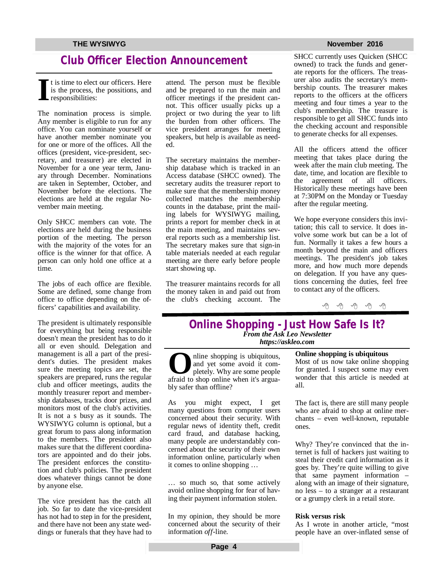## **Club Officer Election Announcement**

**I** t is time to elect our officers. Here is the process, the possitions, and responsibilities:

The nomination process is simple. Any member is eligible to run for any office. You can nominate yourself or have another member nominate you for one or more of the offices. All the offices (president, vice-president, secretary, and treasurer) are elected in November for a one year term, January through December. Nominations are taken in September, October, and November before the elections. The elections are held at the regular November main meeting.

Only SHCC members can vote. The elections are held during the business portion of the meeting. The person with the majority of the votes for an office is the winner for that office. A person can only hold one office at a time.

The jobs of each office are flexible. Some are defined, some change from office to office depending on the officers' capabilities and availability.

The president is ultimately responsible for everything but being responsible doesn't mean the president has to do it all or even should. Delegation and management is all a part of the president's duties. The president makes sure the meeting topics are set, the speakers are prepared, runs the regular club and officer meetings, audits the monthly treasurer report and membership databases, tracks door prizes, and monitors most of the club's activities. It is not a s busy as it sounds. The WYSIWYG column is optional, but a great forum to pass along information to the members. The president also makes sure that the different coordinators are appointed and do their jobs. The president enforces the constitution and club's policies. The president does whatever things cannot be done by anyone else.

The vice president has the catch all job. So far to date the vice-president has not had to step in for the president, and there have not been any state weddings or funerals that they have had to attend. The person must be flexible and be prepared to run the main and officer meetings if the president cannot. This officer usually picks up a project or two during the year to lift the burden from other officers. The vice president arranges for meeting speakers, but help is available as needed.

The secretary maintains the membership database which is tracked in an Access database (SHCC owned). The secretary audits the treasurer report to make sure that the membership money collected matches the membership counts in the database, print the mailing labels for WYSIWYG mailing, prints a report for member check in at the main meeting, and maintains several reports such as a membership list. The secretary makes sure that sign-in table materials needed at each regular meeting are there early before people start showing up.

The treasurer maintains records for all the money taken in and paid out from the club's checking account. The

SHCC currently uses Quicken (SHCC owned) to track the funds and generate reports for the officers. The treasurer also audits the secretary's membership counts. The treasurer makes reports to the officers at the officers meeting and four times a year to the club's membership. The treasure is responsible to get all SHCC funds into the checking account and responsible to generate checks for all expenses.

All the officers attend the officer meeting that takes place during the week after the main club meeting. The date, time, and location are flexible to the agreement of all officers. Historically these meetings have been at 7:30PM on the Monday or Tuesday after the regular meeting.

We hope everyone considers this invitation; this call to service. It does involve some work but can be a lot of fun. Normally it takes a few hours a month beyond the main and officers meetings. The president's job takes more, and how much more depends on delegation. If you have any questions concerning the duties, feel free to contact any of the officers.

中 田 田 田 田

### **Online Shopping - Just How Safe Is It?** *From the Ask Leo Newsletter <https://askleo.com>*

**O**aline shopping is ubiquitous,<br>
and yet some avoid it com-<br>
pletely. Why are some people<br>
afraid to shop online when it's arguanline shopping is ubiquitous, and yet some avoid it completely. Why are some people bly safer than offline?

As you might expect, I get many questions from computer users concerned about their security. With regular news of identity theft, credit card fraud, and database hacking, many people are understandably concerned about the security of their own information online, particularly when it comes to online shopping …

… so much so, that some actively avoid online shopping for fear of having their payment information stolen.

In my opinion, they should be more concerned about the security of their information *off*-line.

**Online shopping is ubiquitous** Most of us now take online shopping for granted. I suspect some may even wonder that this article is needed at all.

The fact is, there are still many people who are afraid to shop at online merchants – even well-known, reputable ones.

Why? They're convinced that the internet is full of hackers just waiting to steal their credit card information as it goes by. They're quite willing to give that same payment information – along with an image of their signature, no less – to a stranger at a restaurant or a grumpy clerk in a retail store.

#### **Risk versus risk**

As I wrote in another article, "most people have an over-inflated sense of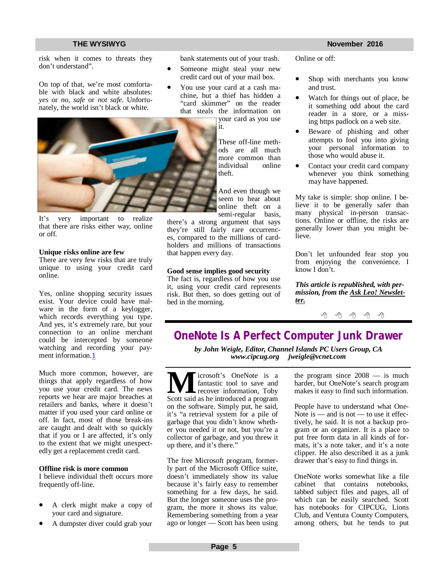risk when it comes to threats they don't understand".

On top of that, we're most comfortable with black and white absolutes: *yes* or *no*, *safe* or *not safe*. Unfortunately, the world isn't black or white.



It's very important to realize that there are risks either way, online or off.

#### **Unique risks online are few**

There are very few risks that are truly unique to using your credit card online.

Yes, online shopping security issues exist. Your device could have malware in the form of a keylogger, which records everything you type. And yes, it's extremely rare, but your connection to an online merchant could be intercepted by someone watching and recording your payment information.1

Much more common, however, are things that apply regardless of how you use your credit card. The news reports we hear are major breaches at retailers and banks, where it doesn't matter if you used your card online or off. In fact, most of those break-ins are caught and dealt with so quickly that if you or I are affected, it's only to the extent that we might unexpectedly get a replacement credit card.

#### **Offline risk is more common**

I believe individual theft occurs more frequently off-line.

- A clerk might make a copy of your card and signature.
- A dumpster diver could grab your

bank statements out of your trash.

- Someone might steal your new credit card out of your mail box.
- You use your card at a cash machine, but a thief has hidden a "card skimmer" on the reader that steals the information on your card as you use

it.

These off-line methods are all much more common than individual online theft.

And even though we seem to hear about online theft on a semi-regular basis,

there's a strong argument that says they're still fairly rare occurrences, compared to the millions of cardholders and millions of transactions that happen every day.

#### **Good sense implies good security**

The fact is, regardless of how you use it, using your credit card represents risk. But then, so does getting out of bed in the morning.

Online or off:

- Shop with merchants you know and trust.
- Watch for things out of place, be it something odd about the card reader in a store, or a missing https padlock on a web site.
- Beware of phishing and other attempts to fool you into giving your personal information to those who would abuse it.
- Contact your credit card company whenever you think something may have happened.

My take is simple: shop online. I believe it to be generally safer than many physical in-person transactions. Online or offline, the risks are generally lower than you might believe.

Don't let unfounded fear stop you from enjoying the convenience. I know I don't.

*This article is republished, with permission, from the Ask Leo! Newsletter.* 

一个 一个

# **OneNote Is A Perfect Computer Junk Drawer**

*by John Weigle, Editor, Channel Islands PC Users Group, CA [www.cipcug.org](http://www.cipcug.org) [jweigle@vcnet.com](mailto:jweigle@vcnet.com)*

**M SPONE EXECUTE:** Fantastic tool to save and recover information, Toby Scott said as he introduced a program icrosoft's OneNote is a fantastic tool to save and recover information, Toby on the software. Simply put, he said, it's "a retrieval system for a pile of garbage that you didn't know whether you needed it or not, but you're a collector of garbage, and you threw it up there, and it's there."

The free Microsoft program, formerly part of the Microsoft Office suite, doesn't immediately show its value because it's fairly easy to remember something for a few days, he said. But the longer someone uses the program, the more it shows its value. Remembering something from a year ago or longer — Scott has been using the program since  $2008 -$  is much harder, but OneNote's search program makes it easy to find such information.

People have to understand what One-Note is — and is not — to use it effectively, he said. It is not a backup program or an organizer. It is a place to put free form data in all kinds of formats, it's a note taker, and it's a note clipper. He also described it as a junk drawer that's easy to find things in.

OneNote works somewhat like a file cabinet that contains notebooks, tabbed subject files and pages, all of which can be easily searched. Scott has notebooks for CIPCUG, Lions Club, and Ventura County Computers, among others, but he tends to put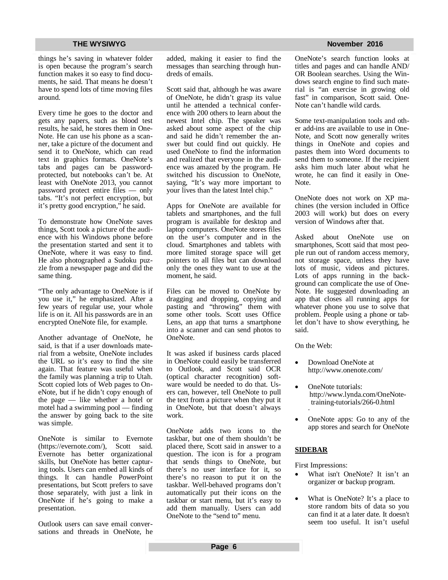things he's saving in whatever folder is open because the program's search function makes it so easy to find documents, he said. That means he doesn't have to spend lots of time moving files around.

Every time he goes to the doctor and gets any papers, such as blood test results, he said, he stores them in One-Note. He can use his phone as a scanner, take a picture of the document and send it to OneNote, which can read text in graphics formats. OneNote's tabs and pages can be passwordprotected, but notebooks can't be. At least with OneNote 2013, you cannot password protect entire files — only tabs. "It's not perfect encryption, but it's pretty good encryption," he said.

To demonstrate how OneNote saves things, Scott took a picture of the audience with his Windows phone before the presentation started and sent it to OneNote, where it was easy to find. He also photographed a Sudoku puzzle from a newspaper page and did the same thing.

"The only advantage to OneNote is if you use it," he emphasized. After a few years of regular use, your whole life is on it. All his passwords are in an encrypted OneNote file, for example.

Another advantage of OneNote, he said, is that if a user downloads material from a website, OneNote includes the URL so it's easy to find the site again. That feature was useful when the family was planning a trip to Utah. Scott copied lots of Web pages to OneNote, but if he didn't copy enough of the page — like whether a hotel or motel had a swimming pool — finding the answer by going back to the site was simple.

OneNote is similar to Evernote ([https://evernote.com/\),](https://evernote.com/),) Scott said. Evernote has better organizational skills, but OneNote has better capturing tools. Users can embed all kinds of things. It can handle PowerPoint presentations, but Scott prefers to save those separately, with just a link in OneNote if he's going to make a presentation.

Outlook users can save email conversations and threads in OneNote, he

added, making it easier to find the messages than searching through hundreds of emails.

Scott said that, although he was aware of OneNote, he didn't grasp its value until he attended a technical conference with 200 others to learn about the newest Intel chip. The speaker was asked about some aspect of the chip and said he didn't remember the answer but could find out quickly. He used OneNote to find the information and realized that everyone in the audience was amazed by the program. He switched his discussion to OneNote, saying, "It's way more important to your lives than the latest Intel chip."

Apps for OneNote are available for tablets and smartphones, and the full program is available for desktop and laptop computers. OneNote stores files on the user's computer and in the cloud. Smartphones and tablets with more limited storage space will get pointers to all files but can download only the ones they want to use at the moment, he said.

Files can be moved to OneNote by dragging and dropping, copying and pasting and "throwing" them with some other tools. Scott uses Office Lens, an app that turns a smartphone into a scanner and can send photos to OneNote.

It was asked if business cards placed in OneNote could easily be transferred to Outlook, and Scott said OCR (optical character recognition) software would be needed to do that. Users can, however, tell OneNote to pull the text from a picture when they put it in OneNote, but that doesn't always work.

OneNote adds two icons to the taskbar, but one of them shouldn't be placed there, Scott said in answer to a question. The icon is for a program that sends things to OneNote, but there's no user interface for it, so there's no reason to put it on the taskbar. Well-behaved programs don't automatically put their icons on the taskbar or start menu, but it's easy to add them manually. Users can add OneNote to the "send to" menu.

#### **THE WYSIWYG November 2016**

OneNote's search function looks at titles and pages and can handle AND/ OR Boolean searches. Using the Windows search engine to find such material is "an exercise in growing old fast" in comparison, Scott said. One-Note can't handle wild cards.

Some text-manipulation tools and other add-ins are available to use in One-Note, and Scott now generally writes things in OneNote and copies and pastes them into Word documents to send them to someone. If the recipient asks him much later about what he wrote, he can find it easily in One-Note.

OneNote does not work on XP machines (the version included in Office 2003 will work) but does on every version of Windows after that.

Asked about OneNote use on smartphones, Scott said that most people run out of random access memory, not storage space, unless they have lots of music, videos and pictures. Lots of apps running in the background can complicate the use of One-Note. He suggested downloading an app that closes all running apps for whatever phone you use to solve that problem. People using a phone or tablet don't have to show everything, he said.

On the Web:

- Download OneNote at <http://www.onenote.com/>
- OneNote tutorials: [http://www.lynda.com/OneNote](http://www.lynda.com/OneNote-)training-tutorials/266-0.html ·
- OneNote apps: Go to any of the app stores and search for OneNote

### **SIDEBAR**

First Impressions:

- What isn't OneNote? It isn't an organizer or backup program.
- What is OneNote? It's a place to store random bits of data so you can find it at a later date. It doesn't seem too useful. It isn't useful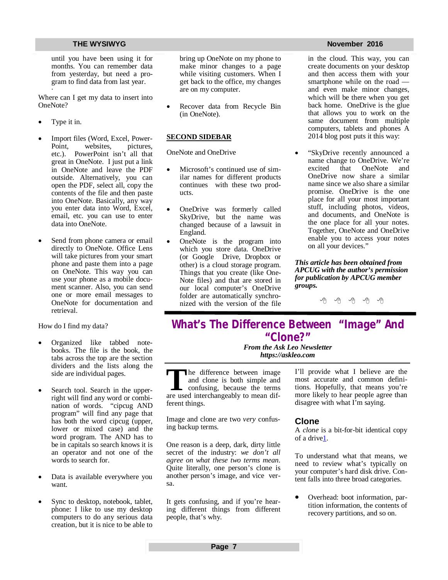until you have been using it for months. You can remember data from yesterday, but need a program to find data from last year.

Where can I get my data to insert into OneNote?

Type it in.

·

- Import files (Word, Excel, Power-Point, websites, pictures, etc.). PowerPoint isn't all that great in OneNote. I just put a link in OneNote and leave the PDF outside. Alternatively, you can open the PDF, select all, copy the contents of the file and then paste into OneNote. Basically, any way you enter data into Word, Excel, email, etc. you can use to enter data into OneNote.
- Send from phone camera or email directly to OneNote. Office Lens will take pictures from your smart phone and paste them into a page on OneNote. This way you can use your phone as a mobile document scanner. Also, you can send one or more email messages to OneNote for documentation and retrieval.

How do I find my data?

- Organized like tabbed notebooks. The file is the book, the tabs across the top are the section dividers and the lists along the side are individual pages.
- Search tool. Search in the upperright will find any word or combination of words. "cipcug AND program" will find any page that has both the word cipcug (upper, lower or mixed case) and the word program. The AND has to be in capitals so search knows it is an operator and not one of the words to search for.
- Data is available everywhere you want.
- Sync to desktop, notebook, tablet, phone: I like to use my desktop computers to do any serious data creation, but it is nice to be able to

bring up OneNote on my phone to make minor changes to a page while visiting customers. When I get back to the office, my changes are on my computer.

 Recover data from Recycle Bin (in OneNote).

### **SECOND SIDEBAR**

OneNote and OneDrive

- Microsoft's continued use of similar names for different products continues with these two products.
- OneDrive was formerly called SkyDrive, but the name was changed because of a lawsuit in England.
- OneNote is the program into which you store data. OneDrive (or Google Drive, Dropbox or other) is a cloud storage program. Things that you create (like One-Note files) and that are stored in our local computer's OneDrive folder are automatically synchronized with the version of the file

#### **THE WYSIWYG November 2016**

in the cloud. This way, you can create documents on your desktop and then access them with your smartphone while on the road and even make minor changes, which will be there when you get back home. OneDrive is the glue that allows you to work on the same document from multiple computers, tablets and phones A 2014 blog post puts it this way:

 "SkyDrive recently announced a name change to OneDrive. We're<br>excited that OneNote and that OneNote and OneDrive now share a similar name since we also share a similar promise. OneDrive is the one place for all your most important stuff, including photos, videos, and documents, and OneNote is the one place for all your notes. Together, OneNote and OneDrive enable you to access your notes on all your devices."

*This article has been obtained from APCUG with the author's permission for publication by APCUG member groups.*

伯 伯 伯 伯

## **What's The Difference Between "Image" And "Clone?"**

*From the Ask Leo Newsletter <https://askleo.com>*

The difference between image<br>
and clone is both simple and<br>
confusing, because the terms<br>
are used interchangeably to mean difhe difference between image and clone is both simple and confusing, because the terms ferent things.

Image and clone are two *very* confusing backup terms.

One reason is a deep, dark, dirty little secret of the industry: *we don't all agree on what these two terms mean*. Quite literally, one person's clone is another person's image, and vice versa.

It gets confusing, and if you're hearing different things from different people, that's why.

I'll provide what I believe are the most accurate and common definitions. Hopefully, that means you're more likely to hear people agree than disagree with what I'm saying.

### **Clone**

A *clone* is a bit-for-bit identical copy of a drive1.

To understand what that means, we need to review what's typically on your computer's hard disk drive. Content falls into three broad categories.

 Overhead: boot information, partition information, the contents of recovery partitions, and so on.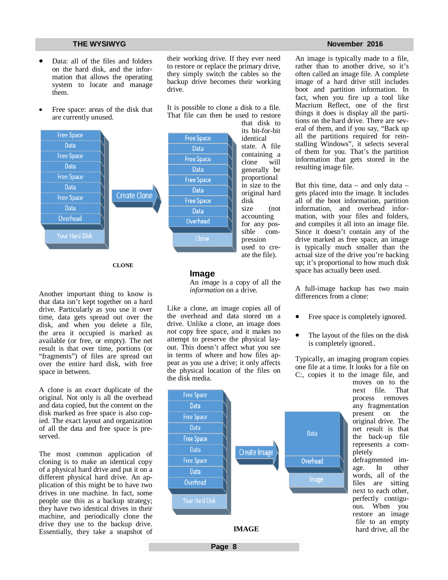- Data: all of the files and folders on the hard disk, and the information that allows the operating system to locate and manage them.
- Free space: areas of the disk that are currently unused.



drive.

**CLONE**

Another important thing to know is that data isn't kept together on a hard drive. Particularly as you use it over time, data gets spread out over the disk, and when you delete a file, the area it occupied is marked as available (or free, or empty). The net result is that over time, portions (or "fragments") of files are spread out over the entire hard disk, with free space in between.

A clone is an *exact* duplicate of the original. Not only is all the overhead and data copied, but the content on the disk marked as free space is also copied. The exact layout and organization of all the data and free space is preserved.

The most common application of cloning is to make an identical copy of a physical hard drive and put it on a different physical hard drive. An application of this might be to have two drives in one machine. In fact, some people use this as a backup strategy; they have two identical drives in their machine, and periodically clone the drive they use to the backup drive. Essentially, they take a snapshot of An *image* is a copy of all the *information* on a drive.

**Image**

**Free Space** 

their working drive. If they ever need to restore or replace the primary drive, they simply switch the cables so the backup drive becomes their working

It is possible to clone a disk to a file.

Like a clone, an image copies all of the overhead and data stored on a drive. Unlike a clone, an image does *not* copy free space, and it makes no attempt to preserve the physical layout. This doesn't affect what you see in terms of where and how files appear as you use a drive; it only affects the physical location of the files on the disk media.

**Page 8**



state. A file containing a clone will generally be proportional in size to the original hard size (not accounting for any possible compression used to create the file).

#### **THE WYSIWYG November 2016**

An image is typically made to a file, rather than to another drive, so it's often called an image file. A complete image of a hard drive still includes boot and partition information. In fact, when you fire up a tool like Macrium Reflect, one of the first things it does is display all the partitions on the hard drive. There are several of them, and if you say, "Back up all the partitions required for reinstalling Windows", it selects several of them for you. That's the partition information that gets stored in the resulting image file.

But this time,  $data - and only data$ gets placed into the image. It includes all of the boot information, partition information, and overhead information, with your files and folders, and compiles it all into an image file. Since it doesn't contain any of the drive marked as free space, an image is typically much smaller than the actual size of the drive you're backing up; it's proportional to how much disk space has actually been used.

A full-image backup has two main differences from a clone:

- Free space is completely ignored.
- The layout of the files on the disk is completely ignored..

Typically, an imaging program copies one file at a time. It looks for a file on C:, copies it to the image file, and

> moves on to the<br>next file. That next file. process removes any fragmentation present on the original drive. The net result is that the back-up file represents a completely defragmented image. In other

words, all of the files are sitting next to each other, perfectly contiguous. When you restore an image file to an empty hard drive, all the

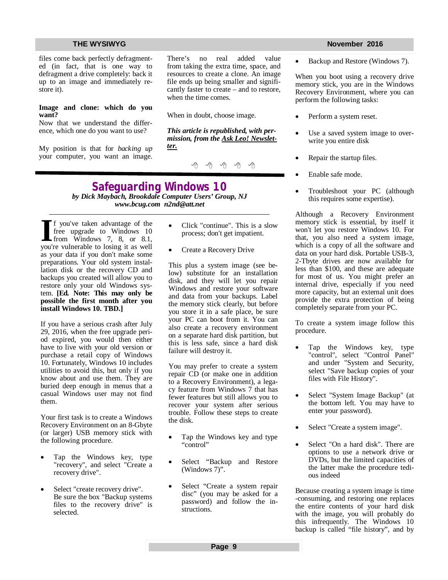files come back perfectly defragmented (in fact, that is one way to defragment a drive completely: back it up to an image and immediately restore it).

#### **Image and clone: which do you want?**

Now that we understand the difference, which one do you want to use?

My position is that for *backing up* your computer, you want an image. There's no real added value from taking the extra time, space, and resources to create a clone. An image file ends up being smaller and significantly faster to create – and to restore, when the time comes.

When in doubt, choose image.

*This article is republished, with permission, from the Ask Leo! Newsletter.* 

西 西 西

### **Safeguarding Windows 10** *by Dick Maybach, Brookdale Computer Users' Group, NJ [www.bcug.com](http://www.bcug.com) [n2nd@att.net](mailto:n2nd@att.net)*

**I** f you've taken advantage of the free upgrade to Windows 10 from Windows 7, 8, or 8.1, you're vulnerable to losing it as well f you've taken advantage of the free upgrade to Windows 10 from Windows 7, 8, or 8.1, as your data if you don't make some preparations. Your old system installation disk or the recovery CD and backups you created will allow you to restore only your old Windows system. **[Ed. Note: This may only be possible the first month after you install Windows 10. TBD.]**

If you have a serious crash after July 29, 2016, when the free upgrade period expired, you would then either have to live with your old version or purchase a retail copy of Windows 10. Fortunately, Windows 10 includes utilities to avoid this, but only if you know about and use them. They are buried deep enough in menus that a casual Windows user may not find them.

Your first task is to create a Windows Recovery Environment on an 8-Gbyte (or larger) USB memory stick with the following procedure.

- Tap the Windows key, type "recovery", and select "Create a recovery drive".
- Select "create recovery drive". Be sure the box "Backup systems files to the recovery drive" is selected.
- Click "continue". This is a slow process; don't get impatient.
- Create a Recovery Drive

This plus a system image (see below) substitute for an installation disk, and they will let you repair Windows and restore your software and data from your backups. Label the memory stick clearly, but before you store it in a safe place, be sure your PC can boot from it. You can also create a recovery environment on a separate hard disk partition, but this is less safe, since a hard disk failure will destroy it.

You may prefer to create a system repair CD (or make one in addition to a Recovery Environment), a legacy feature from Windows 7 that has fewer features but still allows you to recover your system after serious trouble. Follow these steps to create the disk.

- Tap the Windows key and type "control"
- Select "Backup and Restore (Windows 7)".
- Select "Create a system repair disc" (you may be asked for a password) and follow the instructions.

#### **THE WYSIWYG November 2016**

Backup and Restore (Windows 7).

When you boot using a recovery drive memory stick, you are in the Windows Recovery Environment, where you can perform the following tasks:

- Perform a system reset.
- Use a saved system image to overwrite you entire disk
- Repair the startup files.
- Enable safe mode.
- Troubleshoot your PC (although this requires some expertise).

Although a Recovery Environment memory stick is essential, by itself it won't let you restore Windows 10. For that, you also need a system image, which is a copy of all the software and data on your hard disk. Portable USB-3, 2-Tbyte drives are now available for less than \$100, and these are adequate for most of us. You might prefer an internal drive, especially if you need more capacity, but an external unit does provide the extra protection of being completely separate from your PC.

To create a system image follow this procedure.

- Tap the Windows key, type "control", select "Control Panel" and under "System and Security, select "Save backup copies of your files with File History".
- Select "System Image Backup" (at the bottom left. You may have to enter your password).
- Select "Create a system image".
- Select "On a hard disk". There are options to use a network drive or DVDs, but the limited capacities of the latter make the procedure tedious indeed

Because creating a system image is time -consuming, and restoring one replaces the entire contents of your hard disk with the image, you will probably do this infrequently. The Windows 10 backup is called "file history", and by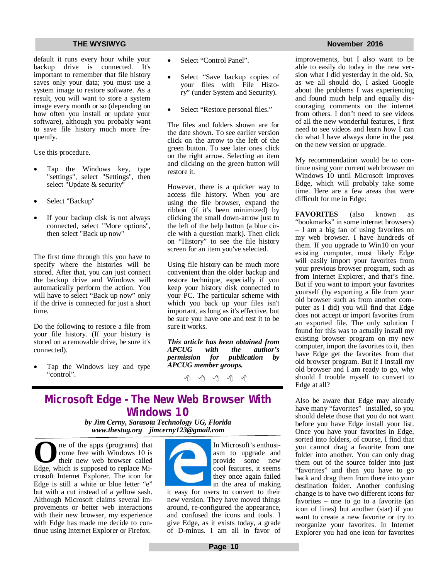default it runs every hour while your backup drive is connected. It's important to remember that file history saves only your data; you must use a system image to restore software. As a result, you will want to store a system image every month or so (depending on how often you install or update your software), although you probably want to save file history much more frequently.

Use this procedure.

- Tap the Windows key, type "settings", select "Settings", then select "Update & security"
- Select "Backup"
- If your backup disk is not always connected, select "More options", then select "Back up now"

The first time through this you have to specify where the histories will be stored. After that, you can just connect the backup drive and Windows will automatically perform the action. You will have to select "Back up now" only if the drive is connected for just a short time.

Do the following to restore a file from your file history. (If your history is stored on a removable drive, be sure it's connected).

 Tap the Windows key and type "control".

- Select "Control Panel".
- Select "Save backup copies of your files with File History" (under System and Security).
- Select "Restore personal files."

The files and folders shown are for the date shown. To see earlier version click on the arrow to the left of the green button. To see later ones click on the right arrow. Selecting an item and clicking on the green button will restore it.

However, there is a quicker way to access file history. When you are using the file browser, expand the ribbon (if it's been minimized) by clicking the small down-arrow just to the left of the help button (a blue circle with a question mark). Then click on "History" to see the file history screen for an item you've selected.

Using file history can be much more convenient than the older backup and restore technique, especially if you keep your history disk connected to your PC. The particular scheme with which you back up your files isn't important, as long as it's effective, but be sure you have one and test it to be sure it works.

*This article has been obtained from dhe author's*<br>*publication by permission for APCUG member groups.*

中 中 中 中 中

## **Microsoft Edge - The New Web Browser With Windows 10**

*by Jim Cerny, Sarasota Technology UG, Florida [www.thestug.org](http://www.thestug.org) [jimcerny123@gmail.com](mailto:jimcerny123@gmail.com)*

**O e** ne of the apps (programs) that<br>
come free with Windows 10 is<br>
their new web browser called<br>
Edge, which is supposed to replace Mine of the apps (programs) that come free with Windows 10 is their new web browser called crosoft Internet Explorer. The icon for Edge is still a white or blue letter "e" but with a cut instead of a yellow sash. Although Microsoft claims several improvements or better web interactions with their new browser, my experience with Edge has made me decide to continue using Internet Explorer or Firefox.

In Microsoft's enthusiasm to upgrade and provide some new cool features, it seems they once again failed in the area of making

it easy for users to convert to their new version. They have moved things around, re-configured the appearance, and confused the icons and tools. I give Edge, as it exists today, a grade of D-minus. I am all in favor of improvements, but I also want to be able to easily do today in the new version what I did yesterday in the old. So, as we all should do, I asked Google about the problems I was experiencing and found much help and equally discouraging comments on the internet from others. I don't need to see videos of all the new wonderful features, I first need to see videos and learn how I can do what I have always done in the past on the new version or upgrade.

My recommendation would be to continue using your current web browser on Windows 10 until Microsoft improves Edge, which will probably take some time. Here are a few areas that were difficult for me in Edge:

**FAVORITES** (also known as "bookmarks" in some internet browsers) – I am a big fan of using favorites on my web browser. I have hundreds of them. If you upgrade to Win10 on your existing computer, most likely Edge will easily import your favorites from your previous browser program, such as from Internet Explorer, and that's fine. But if you want to import your favorites yourself (by exporting a file from your old browser such as from another computer as I did) you will find that Edge does not accept or import favorites from an exported file. The only solution I found for this was to actually install my existing browser program on my new computer, import the favorites to it, then have Edge get the favorites from that old browser program. But if I install my old browser and I am ready to go, why should I trouble myself to convert to Edge at all?

Also be aware that Edge may already have many "favorites" installed, so you should delete those that you do not want before you have Edge install your list. Once you have your favorites in Edge, sorted into folders, of course, I find that you cannot drag a favorite from one folder into another. You can only drag them out of the source folder into just "favorites" and then you have to go back and drag them from there into your destination folder. Another confusing change is to have two different icons for favorites – one to go to a favorite (an icon of lines) but another (star) if you want to create a new favorite or try to reorganize your favorites. In Internet Explorer you had one icon for favorites

### **THE WYSIWYG November 2016**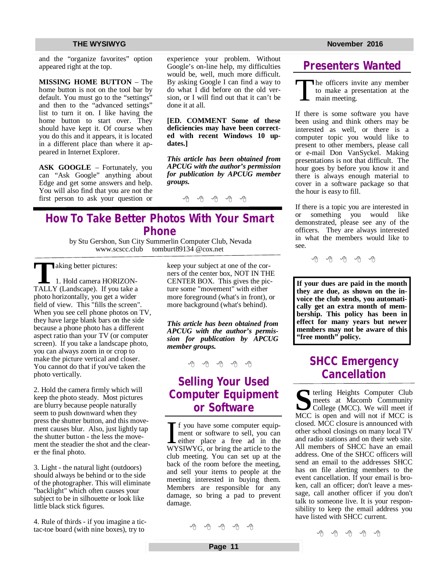and the "organize favorites" option appeared right at the top.

**MISSING HOME BUTTON** – The home button is not on the tool bar by default. You must go to the "settings" and then to the "advanced settings" list to turn it on. I like having the home button to start over. They should have kept it. Of course when you do this and it appears, it is located in a different place than where it appeared in Internet Explorer.

**ASK GOOGLE** – Fortunately, you can "Ask Google" anything about Edge and get some answers and help. You will also find that you are not the first person to ask your question or experience your problem. Without Google's on-line help, my difficulties would be, well, much more difficult. By asking Google I can find a way to do what I did before on the old version, or I will find out that it can't be done it at all.

**[ED. COMMENT Some of these deficiencies may have been corrected with recent Windows 10 updates.]** 

*This article has been obtained from APCUG with the author's permission for publication by APCUG member groups.*

9 9 9 9 9

## **How To Take Better Photos With Your Smart Phone**

by Stu Gershon, Sun City Summerlin Computer Club, Nevada tomburt89134  $@$ cox.net

**also as a set of the set of the set of the set of the set of the set of the set of the set of the set of the set of the set of the set of the set of the set of the set of the set of the set of the set of the set of the se** 

Taking better pictures:<br>1. Hold camera HORIZON-<br>TALLY (Landscape). If you take a 1. Hold camera HORIZONphoto horizontally, you get a wider field of view. This "fills the screen". When you see cell phone photos on TV, they have large blank bars on the side because a phone photo has a different aspect ratio than your TV (or computer screen). If you take a landscape photo, you can always zoom in or crop to make the picture vertical and closer. You cannot do that if you've taken the photo vertically.

2. Hold the camera firmly which will keep the photo steady. Most pictures are blurry because people naturally seem to push downward when they press the shutter button, and this movement causes blur. Also, just lightly tap the shutter button - the less the movement the steadier the shot and the clearer the final photo.

3. Light - the natural light (outdoors) should always be behind or to the side of the photographer. This will eliminate "backlight" which often causes your subject to be in silhouette or look like little black stick figures.

4. Rule of thirds - if you imagine a tictac-toe board (with nine boxes), try to

keep your subject at one of the corners of the center box, NOT IN THE CENTER BOX. This gives the picture some "movement" with either more foreground (what's in front), or more background (what's behind).

*This article has been obtained from APCUG with the author's permission for publication by APCUG member groups.*

平 平 平 平 平

## **Selling Your Used Computer Equipment or Software**

If you have some computer equip-<br>ment or software to sell, you can<br>either place a free ad in the<br>WYSIWYG, or bring the article to the f you have some computer equipment or software to sell, you can either place a free ad in the club meeting. You can set up at the back of the room before the meeting, and sell your items to people at the meeting interested in buying them. Members are responsible for any damage, so bring a pad to prevent damage.

A A A A A

## **Presenters Wanted**

T he officers invite any member to make a presentation at the main meeting.

If there is some software you have been using and think others may be interested as well, or there is a computer topic you would like to present to other members, please call or e-mail Don VanSyckel. Making presentations is not that difficult. The hour goes by before you know it and there is always enough material to cover in a software package so that the hour is easy to fill.

If there is a topic you are interested in or something you would like demonstrated, please see any of the officers. They are always interested in what the members would like to see.

e e e e e

**If your dues are paid in the month they are due, as shown on the invoice the club sends, you automatically get an extra month of membership. This policy has been in effect for many years but newer members may not be aware of this "free month" policy.**

## **SHCC Emergency Cancellation**

**S S S S S S CO COLLEGE S COLLEGE COLLEGE COLLEGE COLLEGE COLLEGE COLLEGE COLLEGE COLLEGE COLLEGE COLLEGE COLLEGE COLLEGE COLLEGE COLLEGE COLLEGE COLLEGE COLLEGE COLLEGE** terling Heights Computer Club meets at Macomb Community MCC is open and will not if MCC is closed. MCC closure is announced with other school closings on many local TV and radio stations and on their web site. All members of SHCC have an email address. One of the SHCC officers will send an email to the addresses SHCC has on file alerting members to the event cancellation. If your email is broken, call an officer; don't leave a message, call another officer if you don't talk to someone live. It is your responsibility to keep the email address you have listed with SHCC current.

中 中 中 一 中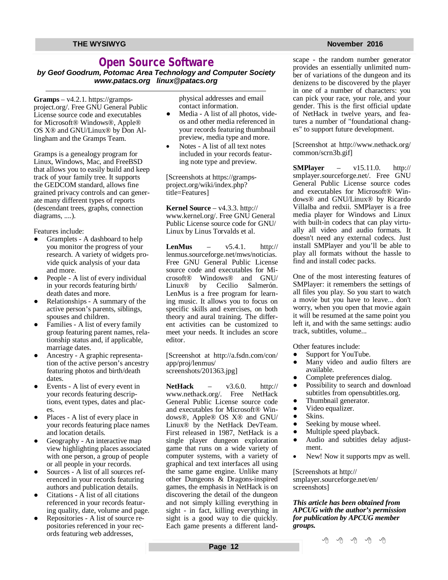## **Open Source Software**

*by Geof Goodrum, Potomac Area Technology and Computer Society [www.patacs.org](http://www.patacs.org) [linux@patacs.org](mailto:linux@patacs.org)*

 $$ project.org/. Free GNU General Public License source code and executables for Microsoft® Windows®, Apple® OS X® and GNU/Linux® by Don Allingham and the Gramps Team.

Gramps is a genealogy program for Linux, Windows, Mac, and FreeBSD that allows you to easily build and keep track of your family tree. It supports the GEDCOM standard, allows fine grained privacy controls and can generate many different types of reports (descendant trees, graphs, connection diagrams, ....).

Features include:

- Gramplets A dashboard to help you monitor the progress of your research. A variety of widgets provide quick analysis of your data and more.
- People A list of every individual in your records featuring birth/ death dates and more.
- Relationships A summary of the active person's parents, siblings, spouses and children.
- Families A list of every family group featuring parent names, relationship status and, if applicable, marriage dates.
- Ancestry A graphic representation of the active person's ancestry featuring photos and birth/death dates.
- Events A list of every event in your records featuring descriptions, event types, dates and places.
- Places A list of every place in your records featuring place names and location details.
- Geography An interactive map view highlighting places associated with one person, a group of people or all people in your records.
- Sources A list of all sources referenced in your records featuring authors and publication details.
- Citations  $\overline{A}$  list of all citations referenced in your records featuring quality, date, volume and page.
- Repositories A list of source repositories referenced in your records featuring web addresses,

physical addresses and email contact information.

- Media A list of all photos, videos and other media referenced in your records featuring thumbnail preview, media type and more.
- Notes A list of all text notes included in your records featuring note type and preview.

[Screenshots at [https://gramps](https://gramps-)project.org/wiki/index.php? title=Features]

**Kernel Source** – v4.3.3. http:// [www.kernel.org/.](http://www.kernel.org/.) Free GNU General Public License source code for GNU/ Linux by Linus Torvalds et al.

**LenMus** – v5.4.1. <http://> lenmus.sourceforge.net/mws/noticias. Free GNU General Public License source code and executables for Mi-<br>crosoft® Windows® and GNU/ Windows® and GNU/ Linux® by Cecilio Salmerón. LenMus is a free program for learning music. It allows you to focus on specific skills and exercises, on both theory and aural training. The different activities can be customized to meet your needs. It includes an score editor.

[Screenshot at <http://a.fsdn.com/con/> app/proj/lenmus/ screenshots/201363.jpg]

**NetHack** – v3.6.0. http:// [www.nethack.org/.](http://www.nethack.org/.) Free NetHack General Public License source code and executables for Microsoft® Windows®, Apple® OS X® and GNU/ Linux® by the NetHack DevTeam. First released in 1987, NetHack is a single player dungeon exploration game that runs on a wide variety of computer systems, with a variety of graphical and text interfaces all using the same game engine. Unlike many other Dungeons & Dragons-inspired games, the emphasis in NetHack is on discovering the detail of the dungeon and not simply killing everything in sight - in fact, killing everything in sight is a good way to die quickly. Each game presents a different landscape - the random number generator

provides an essentially unlimited number of variations of the dungeon and its denizens to be discovered by the player in one of a number of characters: you can pick your race, your role, and your gender. This is the first official update of NetHack in twelve years, and features a number of "foundational changes" to support future development.

[Screenshot at <http://www.nethack.org/> common/scrn3b.gif]

**SMPlayer** – v15.11.0. <http://> smplayer.sourceforge.net/. Free GNU General Public License source codes and executables for Microsoft® Windows® and GNU/Linux® by Ricardo Villalba and redxii. SMPlayer is a free media player for Windows and Linux with built-in codecs that can play virtually all video and audio formats. It doesn't need any external codecs. Just install SMPlayer and you'll be able to play all formats without the hassle to find and install codec packs.

One of the most interesting features of SMPlayer: it remembers the settings of all files you play. So you start to watch a movie but you have to leave... don't worry, when you open that movie again it will be resumed at the same point you left it, and with the same settings: audio track, subtitles, volume...

Other features include:

- Support for YouTube.
- Many video and audio filters are available.
- Complete preferences dialog.
- Possibility to search and download subtitles from opensubtitles.org.
- Thumbnail generator.
- Video equalizer.
- Skins.
- Seeking by mouse wheel.
- Multiple speed playback.
- Audio and subtitles delay adjustment.
- New! Now it supports mpv as well.

[Screenshots at<http://> smplayer.sourceforge.net/en/ screenshots]

*This article has been obtained from APCUG with the author's permission for publication by APCUG member groups.*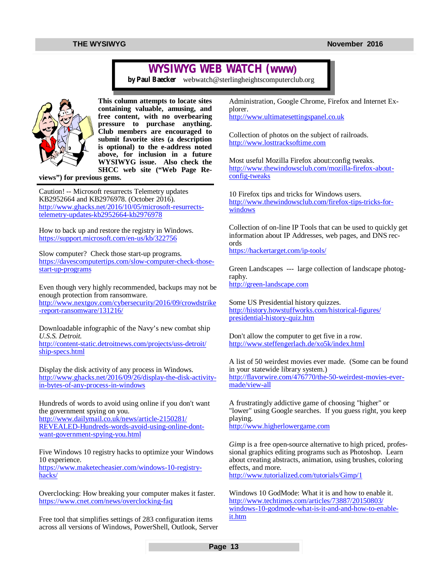## **WYSIWYG WEB WATCH (www)**

*by Paul Baecker* [webwatch@sterlingheightscomputerclub.org](mailto:webwatch@sterlingheightscomputerclub.org)



**This column attempts to locate sites containing valuable, amusing, and free content, with no overbearing pressure to purchase anything. Club members are encouraged to submit favorite sites (a description is optional) to the e-address noted above, for inclusion in a future WYSIWYG issue. Also check the SHCC web site ("Web Page Re-**

**views") for previous gems.** 

Caution! -- Microsoft resurrects Telemetry updates KB2952664 and KB2976978. (October 2016). [http://www.ghacks.net/2016/10/05/microsoft-resurrects](http://www.ghacks.net/2016/10/05/microsoft-resurrects-)telemetry-updates-kb2952664-kb2976978

How to back up and restore the registry in Windows. <https://support.microsoft.com/en-us/kb/322756>

Slow computer? Check those start-up programs. [https://davescomputertips.com/slow-computer-check-those](https://davescomputertips.com/slow-computer-check-those-)start-up-programs

Even though very highly recommended, backups may not be enough protection from ransomware. <http://www.nextgov.com/cybersecurity/2016/09/crowdstrike> -report-ransomware/131216/

Downloadable infographic of the Navy's new combat ship *U.S.S. Detroit.* <http://content-static.detroitnews.com/projects/uss-detroit/> ship-specs.html

Display the disk activity of any process in Windows. [http://www.ghacks.net/2016/09/26/display-the-disk-activity](http://www.ghacks.net/2016/09/26/display-the-disk-activity-)in-bytes-of-any-process-in-windows

Hundreds of words to avoid using online if you don't want the government spying on you. <http://www.dailymail.co.uk/news/article-2150281/> REVEALED-Hundreds-words-avoid-using-online-dontwant-government-spying-you.html

Five Windows 10 registry hacks to optimize your Windows 10 experience. [https://www.maketecheasier.com/windows-10-registry](https://www.maketecheasier.com/windows-10-registry-)hacks/

Overclocking: How breaking your computer makes it faster. <https://www.cnet.com/news/overclocking-faq>

Free tool that simplifies settings of 283 configuration items across all versions of Windows, PowerShell, Outlook, Server Administration, Google Chrome, Firefox and Internet Explorer. <http://www.ultimatesettingspanel.co.uk>

Collection of photos on the subject of railroads. <http://www.losttracksoftime.com>

Most useful Mozilla Firefox about:config tweaks. [http://www.thewindowsclub.com/mozilla-firefox-about](http://www.thewindowsclub.com/mozilla-firefox-about-)config-tweaks

10 Firefox tips and tricks for Windows users. [http://www.thewindowsclub.com/firefox-tips-tricks-for](http://www.thewindowsclub.com/firefox-tips-tricks-for-)windows

Collection of on-line IP Tools that can be used to quickly get information about IP Addresses, web pages, and DNS records <https://hackertarget.com/ip-tools/>

Green Landscapes --- large collection of landscape photography. <http://green-landscape.com>

Some US Presidential history quizzes. <http://history.howstuffworks.com/historical-figures/> presidential-history-quiz.htm

Don't allow the computer to get five in a row. <http://www.steffengerlach.de/xo5k/index.html>

A list of 50 weirdest movies ever made. (Some can be found in your statewide library system.) [http://flavorwire.com/476770/the-50-weirdest-movies-ever](http://flavorwire.com/476770/the-50-weirdest-movies-ever-)made/view-all

A frustratingly addictive game of choosing "higher" or "lower" using Google searches. If you guess right, you keep playing. <http://www.higherlowergame.com>

*Gimp* is a free open-source alternative to high priced, professional graphics editing programs such as Photoshop. Learn about creating abstracts, animation, using brushes, coloring effects, and more.

<http://www.tutorialized.com/tutorials/Gimp/1>

Windows 10 GodMode: What it is and how to enable it. <http://www.techtimes.com/articles/73887/20150803/> windows-10-godmode-what-is-it-and-and-how-to-enableit.htm

**Page 13**